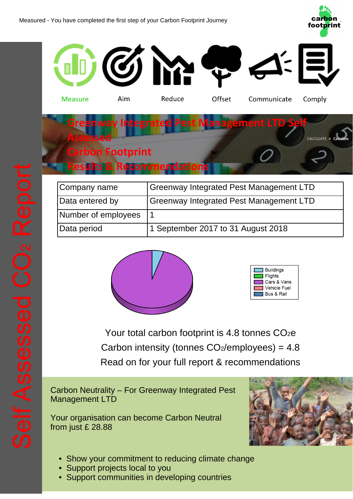



| Company name        | <b>Greenway Integrated Pest Management LTD</b> |
|---------------------|------------------------------------------------|
| Data entered by     | Greenway Integrated Pest Management LTD        |
| Number of employees |                                                |
| Data period         | 1 September 2017 to 31 August 2018             |





Your total carbon footprint is 4.8 tonnes CO<sub>2</sub>e Carbon intensity (tonnes  $CO<sub>2</sub>/employees$ ) = 4.8 Read on for your full report & recommendations

Carbon Neutrality – For Greenway Integrated Pest Management LTD

Your organisation can become Carbon Neutral from just £ 28.88



- Show your commitment to reducing climate change
- Support projects local to you
- Support communities in developing countries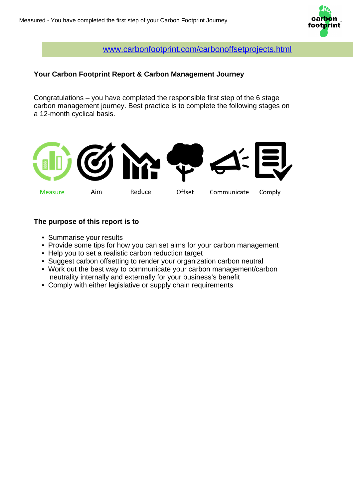

[www.carbonfootprint.com/carbonoffsetprojects.html](https://www.carbonfootprint.com/carbonoffsetprojects.html)

## **Your Carbon Footprint Report & Carbon Management Journey**

Congratulations – you have completed the responsible first step of the 6 stage carbon management journey. Best practice is to complete the following stages on a 12-month cyclical basis.



## **The purpose of this report is to**

- Summarise your results
- Provide some tips for how you can set aims for your carbon management
- Help you to set a realistic carbon reduction target
- Suggest carbon offsetting to render your organization carbon neutral
- Work out the best way to communicate your carbon management/carbon neutrality internally and externally for your business's benefit
- Comply with either legislative or supply chain requirements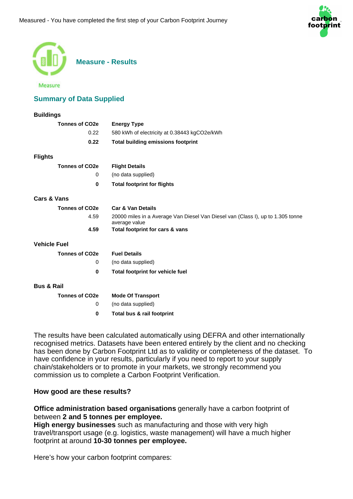

| <b>Measure - Results</b><br>Measure |                                                                                                  |  |
|-------------------------------------|--------------------------------------------------------------------------------------------------|--|
| <b>Summary of Data Supplied</b>     |                                                                                                  |  |
| <b>Buildings</b>                    |                                                                                                  |  |
| <b>Tonnes of CO2e</b>               | <b>Energy Type</b>                                                                               |  |
| 0.22                                | 580 kWh of electricity at 0.38443 kgCO2e/kWh                                                     |  |
| 0.22                                | <b>Total building emissions footprint</b>                                                        |  |
| <b>Flights</b>                      |                                                                                                  |  |
| <b>Tonnes of CO2e</b>               | <b>Flight Details</b>                                                                            |  |
| 0                                   | (no data supplied)                                                                               |  |
| $\bf{0}$                            | <b>Total footprint for flights</b>                                                               |  |
| <b>Cars &amp; Vans</b>              |                                                                                                  |  |
| Tonnes of CO <sub>2e</sub>          | <b>Car &amp; Van Details</b>                                                                     |  |
| 4.59                                | 20000 miles in a Average Van Diesel Van Diesel van (Class I), up to 1.305 tonne<br>average value |  |
| 4.59                                | Total footprint for cars & vans                                                                  |  |
| <b>Vehicle Fuel</b>                 |                                                                                                  |  |
| <b>Tonnes of CO2e</b>               | <b>Fuel Details</b>                                                                              |  |
| 0                                   | (no data supplied)                                                                               |  |
| 0                                   | <b>Total footprint for vehicle fuel</b>                                                          |  |
| <b>Bus &amp; Rail</b>               |                                                                                                  |  |
| <b>Tonnes of CO2e</b>               | <b>Mode Of Transport</b>                                                                         |  |
| 0                                   | (no data supplied)                                                                               |  |
| $\bf{0}$                            | Total bus & rail footprint                                                                       |  |
|                                     |                                                                                                  |  |

The results have been calculated automatically using DEFRA and other internationally recognised metrics. Datasets have been entered entirely by the client and no checking has been done by Carbon Footprint Ltd as to validity or completeness of the dataset. To have confidence in your results, particularly if you need to report to your supply chain/stakeholders or to promote in your markets, we strongly recommend you commission us to complete a Carbon Footprint Verification.

## **How good are these results?**

**Office administration based organisations** generally have a carbon footprint of between **2 and 5 tonnes per employee.**

**High energy businesses** such as manufacturing and those with very high travel/transport usage (e.g. logistics, waste management) will have a much higher footprint at around **10-30 tonnes per employee.**

Here's how your carbon footprint compares: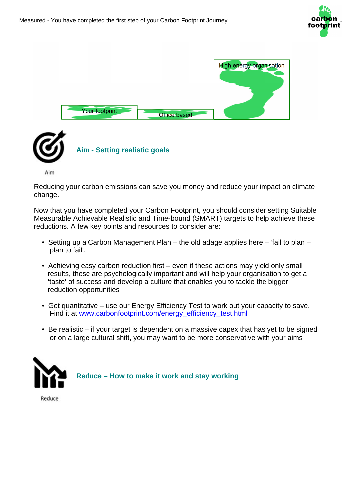





Reducing your carbon emissions can save you money and reduce your impact on climate change.

Now that you have completed your Carbon Footprint, you should consider setting Suitable Measurable Achievable Realistic and Time-bound (SMART) targets to help achieve these reductions. A few key points and resources to consider are:

- Setting up a Carbon Management Plan the old adage applies here 'fail to plan plan to fail'.
- Achieving easy carbon reduction first even if these actions may yield only small results, these are psychologically important and will help your organisation to get a 'taste' of success and develop a culture that enables you to tackle the bigger reduction opportunities
- Get quantitative use our Energy Efficiency Test to work out your capacity to save. Find it at [www.carbonfootprint.com/energy\\_efficiency\\_test.html](https://www.carbonfootprint.com/energy_efficiency_test.html)
- Be realistic if your target is dependent on a massive capex that has yet to be signed or on a large cultural shift, you may want to be more conservative with your aims



 **Reduce – How to make it work and stay working**

Reduce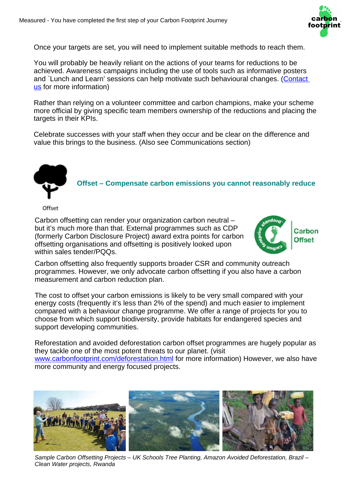

Once your targets are set, you will need to implement suitable methods to reach them.

You will probably be heavily reliant on the actions of your teams for reductions to be achieved. Awareness campaigns including the use of tools such as informative posters and `Lunch and Learn' sessions can help motivate such behavioural changes. (Contact [us](mailto:info@carbonfootprint.com?Subject=Please%20subscribe%20me%20to%20the%20Carbon%20Footprint%20newsletter) for more information)

Rather than relying on a volunteer committee and carbon champions, make your scheme more official by giving specific team members ownership of the reductions and placing the targets in their KPIs.

Celebrate successes with your staff when they occur and be clear on the difference and value this brings to the business. (Also see Communications section)



 **Offset – Compensate carbon emissions you cannot reasonably reduce**

Carbon offsetting can render your organization carbon neutral – but it's much more than that. External programmes such as CDP (formerly Carbon Disclosure Project) award extra points for carbon offsetting organisations and offsetting is positively looked upon within sales tender/PQQs.



Carbon offsetting also frequently supports broader CSR and community outreach programmes. However, we only advocate carbon offsetting if you also have a carbon measurement and carbon reduction plan.

The cost to offset your carbon emissions is likely to be very small compared with your energy costs (frequently it's less than 2% of the spend) and much easier to implement compared with a behaviour change programme. We offer a range of projects for you to choose from which support biodiversity, provide habitats for endangered species and support developing communities.

Reforestation and avoided deforestation carbon offset programmes are hugely popular as they tackle one of the most potent threats to our planet. (visit

[www.carbonfootprint.com/deforestation.html](https://www.carbonfootprint.com/deforestation.html) for more information) However, we also have more community and energy focused projects.



Sample Carbon Offsetting Projects – UK Schools Tree Planting, Amazon Avoided Deforestation, Brazil – Clean Water projects, Rwanda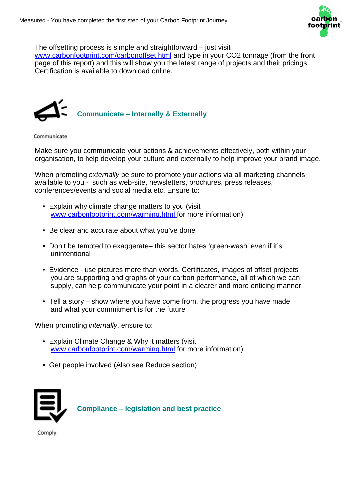

The offsetting process is simple and straightforward – just visit

[www.carbonfootprint.com/carbonoffset.html](https://www.carbonfootprint.com/carbonoffset.html) and type in your CO2 tonnage (from the front page of this report) and this will show you the latest range of projects and their pricings. Certification is available to download online.



Communicate

Make sure you communicate your actions & achievements effectively, both within your organisation, to help develop your culture and externally to help improve your brand image.

When promoting externally be sure to promote your actions via all marketing channels available to you - such as web-site, newsletters, brochures, press releases, conferences/events and social media etc. Ensure to:

- Explain why climate change matters to you (visit [www.carbonfootprint.com/warming.html f](https://www.carbonfootprint.com/warming.html)or more information)
- Be clear and accurate about what you've done
- Don't be tempted to exaggerate– this sector hates 'green-wash' even if it's unintentional
- Evidence use pictures more than words. Certificates, images of offset projects you are supporting and graphs of your carbon performance, all of which we can supply, can help communicate your point in a clearer and more enticing manner.
- Tell a story show where you have come from, the progress you have made and what your commitment is for the future

When promoting *internally*, ensure to:

- Explain Climate Change & Why it matters (visit [www.carbonfootprint.com/warming.html](https://www.carbonfootprint.com/warming.html) for more information)
- Get people involved (Also see Reduce section)



 **Compliance – legislation and best practice**

Comply